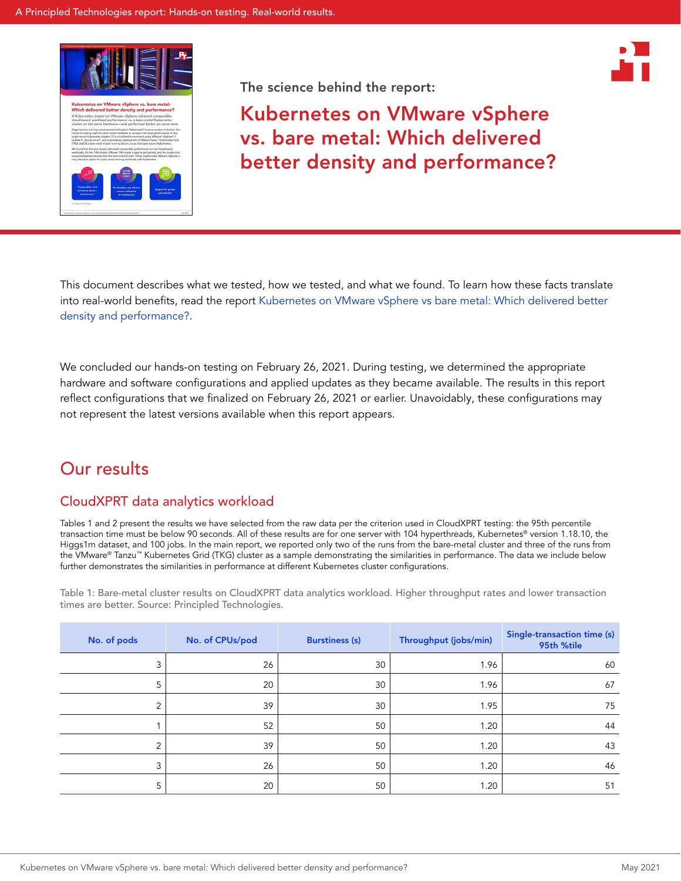



Kubernetes on VMware vSphere vs. bare metal: Which delivered better density and performance?

This document describes what we tested, how we tested, and what we found. To learn how these facts translate into real-world benefits, read the report [Kubernetes on VMware vSphere vs bare metal: Which delivered better](http://facts.pt/Jfa6Txr)  [density and performance?](http://facts.pt/Jfa6Txr).

We concluded our hands-on testing on February 26, 2021. During testing, we determined the appropriate hardware and software configurations and applied updates as they became available. The results in this report reflect configurations that we finalized on February 26, 2021 or earlier. Unavoidably, these configurations may not represent the latest versions available when this report appears.

## Our results

### CloudXPRT data analytics workload

Tables 1 and 2 present the results we have selected from the raw data per the criterion used in CloudXPRT testing: the 95th percentile transaction time must be below 90 seconds. All of these results are for one server with 104 hyperthreads, Kubernetes® version 1.18.10, the Higgs1m dataset, and 100 jobs. In the main report, we reported only two of the runs from the bare-metal cluster and three of the runs from the VMware® Tanzu™ Kubernetes Grid (TKG) cluster as a sample demonstrating the similarities in performance. The data we include below further demonstrates the similarities in performance at different Kubernetes cluster configurations.

Table 1: Bare-metal cluster results on CloudXPRT data analytics workload. Higher throughput rates and lower transaction times are better. Source: Principled Technologies.

| No. of pods    | No. of CPUs/pod | <b>Burstiness (s)</b> | Throughput (jobs/min) | Single-transaction time (s)<br>95th %tile |
|----------------|-----------------|-----------------------|-----------------------|-------------------------------------------|
| 3              | 26              | 30                    | 1.96                  | 60                                        |
| 5              | 20              | 30                    | 1.96                  | 67                                        |
| $\overline{2}$ | 39              | 30                    | 1.95                  | 75                                        |
|                | 52              | 50                    | 1.20                  | 44                                        |
| C              | 39              | 50                    | 1.20                  | 43                                        |
| 3              | 26              | 50                    | 1.20                  | 46                                        |
| 5              | 20              | 50                    | 1.20                  | 51                                        |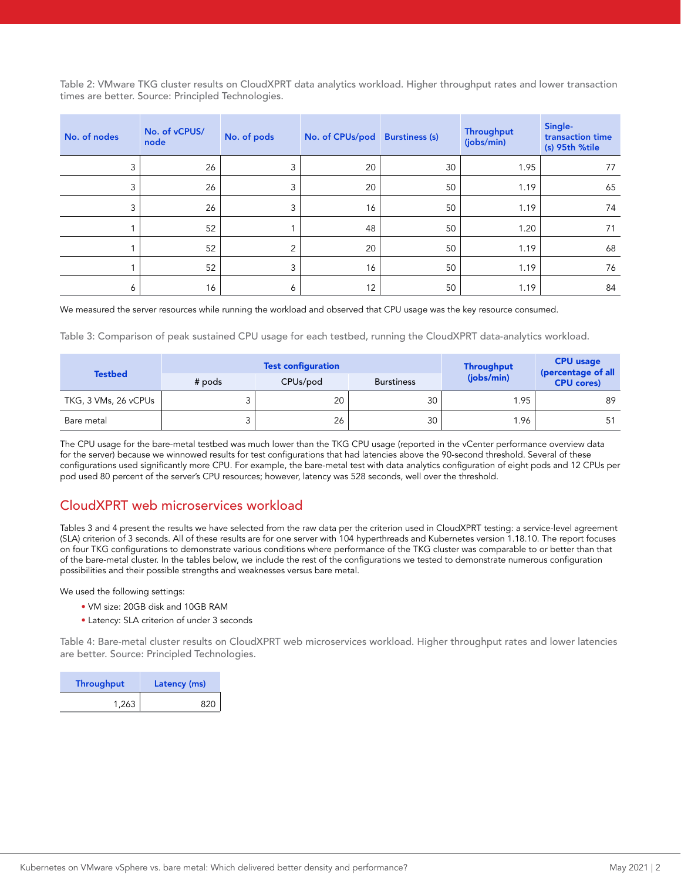Table 2: VMware TKG cluster results on CloudXPRT data analytics workload. Higher throughput rates and lower transaction times are better. Source: Principled Technologies.

| No. of nodes | No. of vCPUS/<br>node | No. of pods | No. of CPUs/pod | <b>Burstiness (s)</b> | Throughput<br>(jobs/min) | Single-<br>transaction time<br>(s) 95th %tile |
|--------------|-----------------------|-------------|-----------------|-----------------------|--------------------------|-----------------------------------------------|
| 3            | 26                    | 3           | 20              | 30                    | 1.95                     | 77                                            |
| 3            | 26                    | 3           | 20              | 50                    | 1.19                     | 65                                            |
| 3            | 26                    | 3           | 16              | 50                    | 1.19                     | 74                                            |
|              | 52                    |             | 48              | 50                    | 1.20                     | 71                                            |
|              | 52                    | 2           | 20              | 50                    | 1.19                     | 68                                            |
|              | 52                    | 3           | 16              | 50                    | 1.19                     | 76                                            |
| 6            | 16                    | 6           | 12              | 50                    | 1.19                     | 84                                            |

We measured the server resources while running the workload and observed that CPU usage was the key resource consumed.

Table 3: Comparison of peak sustained CPU usage for each testbed, running the CloudXPRT data-analytics workload.

|                      |          | <b>Test configuration</b> |                   | Throughput | <b>CPU</b> usage<br>(percentage of all |
|----------------------|----------|---------------------------|-------------------|------------|----------------------------------------|
| <b>Testbed</b>       | $#$ pods | CPUs/pod                  | <b>Burstiness</b> | (jobs/min) | <b>CPU cores)</b>                      |
| TKG, 3 VMs, 26 vCPUs |          | 20                        | 30                | 1.95       | 89                                     |
| Bare metal           |          | 26                        | 30                | 1.96       | 51                                     |

The CPU usage for the bare-metal testbed was much lower than the TKG CPU usage (reported in the vCenter performance overview data for the server) because we winnowed results for test configurations that had latencies above the 90-second threshold. Several of these configurations used significantly more CPU. For example, the bare-metal test with data analytics configuration of eight pods and 12 CPUs per pod used 80 percent of the server's CPU resources; however, latency was 528 seconds, well over the threshold.

### CloudXPRT web microservices workload

Tables 3 and 4 present the results we have selected from the raw data per the criterion used in CloudXPRT testing: a service-level agreement (SLA) criterion of 3 seconds. All of these results are for one server with 104 hyperthreads and Kubernetes version 1.18.10. The report focuses on four TKG configurations to demonstrate various conditions where performance of the TKG cluster was comparable to or better than that of the bare-metal cluster. In the tables below, we include the rest of the configurations we tested to demonstrate numerous configuration possibilities and their possible strengths and weaknesses versus bare metal.

We used the following settings:

- VM size: 20GB disk and 10GB RAM
- Latency: SLA criterion of under 3 seconds

Table 4: Bare-metal cluster results on CloudXPRT web microservices workload. Higher throughput rates and lower latencies are better. Source: Principled Technologies.

| Throughput | Latency (ms) |
|------------|--------------|
| 1,263      | 820          |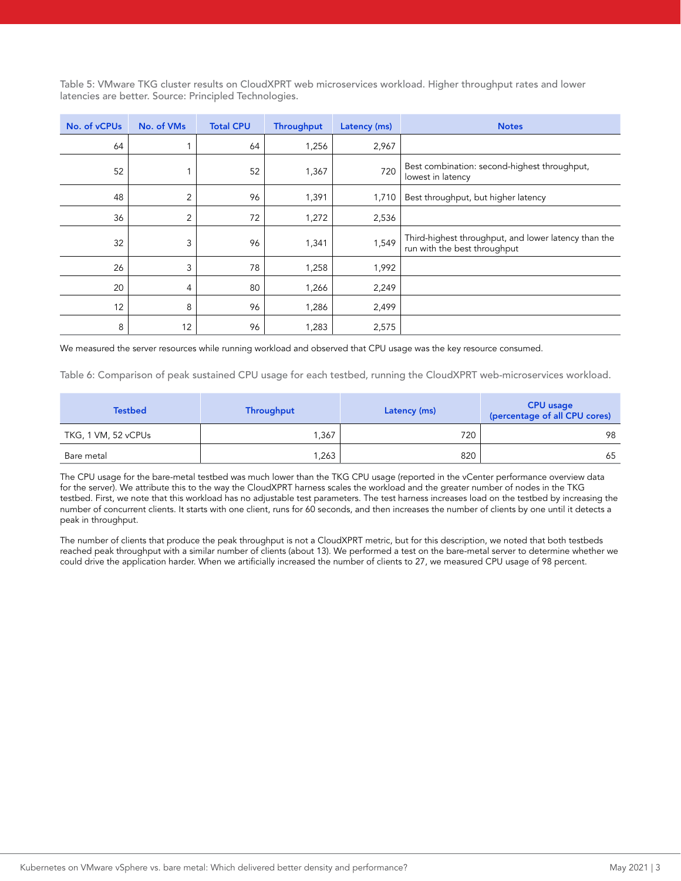Table 5: VMware TKG cluster results on CloudXPRT web microservices workload. Higher throughput rates and lower latencies are better. Source: Principled Technologies.

| No. of vCPUs | No. of VMs     | <b>Total CPU</b> | <b>Throughput</b> | Latency (ms) | <b>Notes</b>                                                                         |
|--------------|----------------|------------------|-------------------|--------------|--------------------------------------------------------------------------------------|
| 64           |                | 64               | 1,256             | 2,967        |                                                                                      |
| 52           |                | 52               | 1,367             | 720          | Best combination: second-highest throughput,<br>lowest in latency                    |
| 48           | 2              | 96               | 1,391             | 1,710        | Best throughput, but higher latency                                                  |
| 36           | 2              | 72               | 1,272             | 2,536        |                                                                                      |
| 32           | 3              | 96               | 1,341             | 1,549        | Third-highest throughput, and lower latency than the<br>run with the best throughput |
| 26           | 3              | 78               | 1,258             | 1,992        |                                                                                      |
| 20           | $\overline{4}$ | 80               | 1,266             | 2,249        |                                                                                      |
| 12           | 8              | 96               | 1,286             | 2,499        |                                                                                      |
| 8            | 12             | 96               | 1,283             | 2,575        |                                                                                      |

We measured the server resources while running workload and observed that CPU usage was the key resource consumed.

Table 6: Comparison of peak sustained CPU usage for each testbed, running the CloudXPRT web-microservices workload.

| <b>Testbed</b>      | Throughput | Latency (ms) | <b>CPU</b> usage<br>(percentage of all CPU cores) |
|---------------------|------------|--------------|---------------------------------------------------|
| TKG, 1 VM, 52 vCPUs | .367       | 720          | 98                                                |
| Bare metal          | 263,       | 820          | 65                                                |

The CPU usage for the bare-metal testbed was much lower than the TKG CPU usage (reported in the vCenter performance overview data for the server). We attribute this to the way the CloudXPRT harness scales the workload and the greater number of nodes in the TKG testbed. First, we note that this workload has no adjustable test parameters. The test harness increases load on the testbed by increasing the number of concurrent clients. It starts with one client, runs for 60 seconds, and then increases the number of clients by one until it detects a peak in throughput.

The number of clients that produce the peak throughput is not a CloudXPRT metric, but for this description, we noted that both testbeds reached peak throughput with a similar number of clients (about 13). We performed a test on the bare-metal server to determine whether we could drive the application harder. When we artificially increased the number of clients to 27, we measured CPU usage of 98 percent.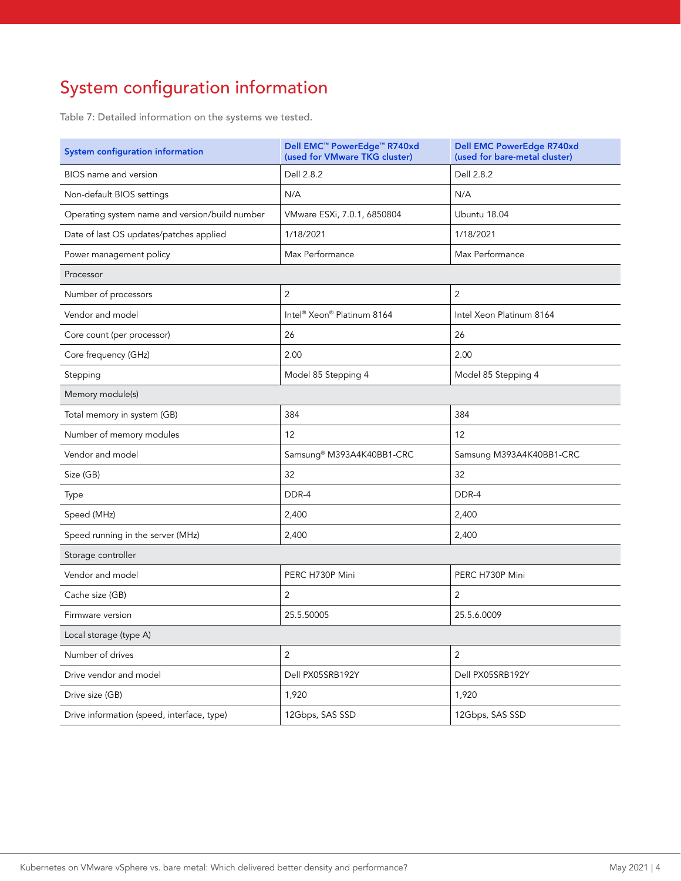# System configuration information

Table 7: Detailed information on the systems we tested.

| <b>System configuration information</b>        | Dell EMC™ PowerEdge™ R740xd<br>(used for VMware TKG cluster) | <b>Dell EMC PowerEdge R740xd</b><br>(used for bare-metal cluster) |
|------------------------------------------------|--------------------------------------------------------------|-------------------------------------------------------------------|
| BIOS name and version                          | Dell 2.8.2                                                   | Dell 2.8.2                                                        |
| Non-default BIOS settings                      | N/A                                                          | N/A                                                               |
| Operating system name and version/build number | VMware ESXi, 7.0.1, 6850804                                  | Ubuntu 18.04                                                      |
| Date of last OS updates/patches applied        | 1/18/2021                                                    | 1/18/2021                                                         |
| Power management policy                        | Max Performance                                              | Max Performance                                                   |
| Processor                                      |                                                              |                                                                   |
| Number of processors                           | 2                                                            | $\overline{2}$                                                    |
| Vendor and model                               | Intel® Xeon® Platinum 8164                                   | Intel Xeon Platinum 8164                                          |
| Core count (per processor)                     | 26                                                           | 26                                                                |
| Core frequency (GHz)                           | 2.00                                                         | 2.00                                                              |
| Stepping                                       | Model 85 Stepping 4                                          | Model 85 Stepping 4                                               |
| Memory module(s)                               |                                                              |                                                                   |
| Total memory in system (GB)                    | 384                                                          | 384                                                               |
| Number of memory modules                       | 12                                                           | 12                                                                |
| Vendor and model                               | Samsung® M393A4K40BB1-CRC                                    | Samsung M393A4K40BB1-CRC                                          |
| Size (GB)                                      | 32                                                           | 32                                                                |
| Type                                           | DDR-4                                                        | DDR-4                                                             |
| Speed (MHz)                                    | 2,400                                                        | 2,400                                                             |
| Speed running in the server (MHz)              | 2,400                                                        | 2,400                                                             |
| Storage controller                             |                                                              |                                                                   |
| Vendor and model                               | PERC H730P Mini                                              | PERC H730P Mini                                                   |
| Cache size (GB)                                | 2                                                            | 2                                                                 |
| Firmware version                               | 25.5.50005                                                   | 25.5.6.0009                                                       |
| Local storage (type A)                         |                                                              |                                                                   |
| Number of drives                               | $\overline{2}$                                               | $\overline{c}$                                                    |
| Drive vendor and model                         | Dell PX05SRB192Y                                             | Dell PX05SRB192Y                                                  |
| Drive size (GB)                                | 1,920                                                        | 1,920                                                             |
| Drive information (speed, interface, type)     | 12Gbps, SAS SSD                                              | 12Gbps, SAS SSD                                                   |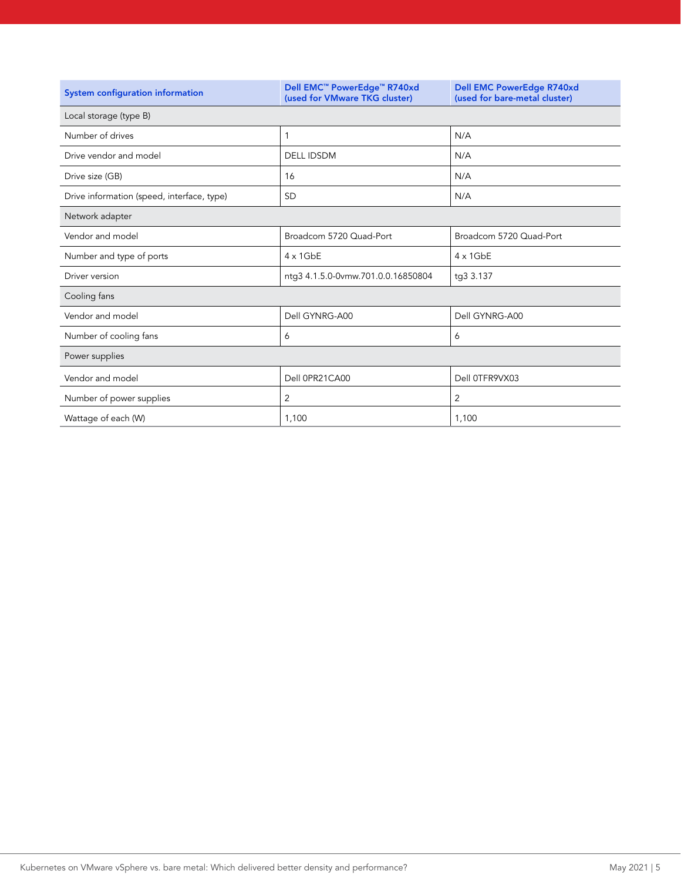| System configuration information           | Dell EMC <sup>™</sup> PowerEdge <sup>™</sup> R740xd<br>(used for VMware TKG cluster) | <b>Dell EMC PowerEdge R740xd</b><br>(used for bare-metal cluster) |
|--------------------------------------------|--------------------------------------------------------------------------------------|-------------------------------------------------------------------|
| Local storage (type B)                     |                                                                                      |                                                                   |
| Number of drives                           | 1                                                                                    | N/A                                                               |
| Drive vendor and model                     | <b>DELL IDSDM</b>                                                                    | N/A                                                               |
| Drive size (GB)                            | 16                                                                                   | N/A                                                               |
| Drive information (speed, interface, type) | <b>SD</b>                                                                            | N/A                                                               |
| Network adapter                            |                                                                                      |                                                                   |
| Vendor and model                           | Broadcom 5720 Quad-Port                                                              | Broadcom 5720 Quad-Port                                           |
| Number and type of ports                   | $4 \times 1$ GbE                                                                     | $4 \times 1$ GbE                                                  |
| Driver version                             | ntg3 4.1.5.0-0vmw.701.0.0.16850804                                                   | tg3 3.137                                                         |
| Cooling fans                               |                                                                                      |                                                                   |
| Vendor and model                           | Dell GYNRG-A00                                                                       | Dell GYNRG-A00                                                    |
| Number of cooling fans                     | 6                                                                                    | 6                                                                 |
| Power supplies                             |                                                                                      |                                                                   |
| Vendor and model                           | Dell 0PR21CA00                                                                       | Dell 0TFR9VX03                                                    |
| Number of power supplies                   | 2                                                                                    | 2                                                                 |
| Wattage of each (W)                        | 1,100                                                                                | 1,100                                                             |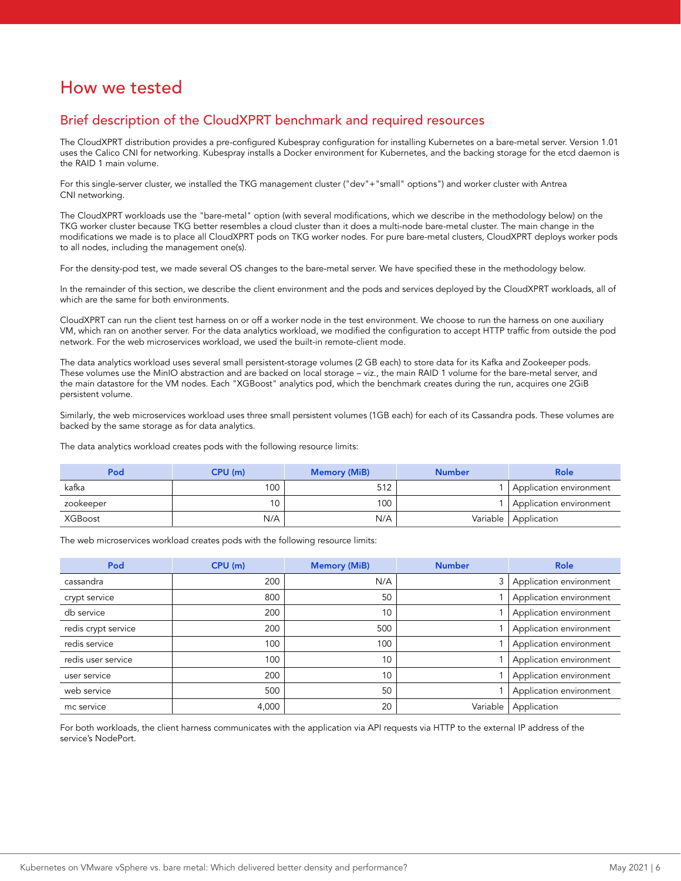## How we tested

#### Brief description of the CloudXPRT benchmark and required resources

The CloudXPRT distribution provides a pre-configured Kubespray configuration for installing Kubernetes on a bare-metal server. Version 1.01 uses the Calico CNI for networking. Kubespray installs a Docker environment for Kubernetes, and the backing storage for the etcd daemon is the RAID 1 main volume.

For this single-server cluster, we installed the TKG management cluster ("dev"+"small" options") and worker cluster with Antrea CNI networking.

The CloudXPRT workloads use the "bare-metal" option (with several modifications, which we describe in the methodology below) on the TKG worker cluster because TKG better resembles a cloud cluster than it does a multi-node bare-metal cluster. The main change in the modifications we made is to place all CloudXPRT pods on TKG worker nodes. For pure bare-metal clusters, CloudXPRT deploys worker pods to all nodes, including the management one(s).

For the density-pod test, we made several OS changes to the bare-metal server. We have specified these in the methodology below.

In the remainder of this section, we describe the client environment and the pods and services deployed by the CloudXPRT workloads, all of which are the same for both environments.

CloudXPRT can run the client test harness on or off a worker node in the test environment. We choose to run the harness on one auxiliary VM, which ran on another server. For the data analytics workload, we modified the configuration to accept HTTP traffic from outside the pod network. For the web microservices workload, we used the built-in remote-client mode.

The data analytics workload uses several small persistent-storage volumes (2 GB each) to store data for its Kafka and Zookeeper pods. These volumes use the MinIO abstraction and are backed on local storage – viz., the main RAID 1 volume for the bare-metal server, and the main datastore for the VM nodes. Each "XGBoost" analytics pod, which the benchmark creates during the run, acquires one 2GiB persistent volume.

Similarly, the web microservices workload uses three small persistent volumes (1GB each) for each of its Cassandra pods. These volumes are backed by the same storage as for data analytics.

The data analytics workload creates pods with the following resource limits:

| Pod       | CPU(m) | <b>Memory (MiB)</b> | <b>Number</b> | Role                    |
|-----------|--------|---------------------|---------------|-------------------------|
| kafka     | 100    | 512                 |               | Application environment |
| zookeeper |        | 100                 |               | Application environment |
| XGBoost   | N/A    | N/A                 |               | Variable   Application  |

The web microservices workload creates pods with the following resource limits:

| Pod                 | CPU(m) | <b>Memory (MiB)</b> | <b>Number</b> | <b>Role</b>             |
|---------------------|--------|---------------------|---------------|-------------------------|
| cassandra           | 200    | N/A                 |               | Application environment |
| crypt service       | 800    | 50                  |               | Application environment |
| db service          | 200    | 10                  |               | Application environment |
| redis crypt service | 200    | 500                 |               | Application environment |
| redis service       | 100    | 100                 |               | Application environment |
| redis user service  | 100    | 10                  |               | Application environment |
| user service        | 200    | 10                  |               | Application environment |
| web service         | 500    | 50                  |               | Application environment |
| mc service          | 4,000  | 20                  | Variable      | Application             |

For both workloads, the client harness communicates with the application via API requests via HTTP to the external IP address of the service's NodePort.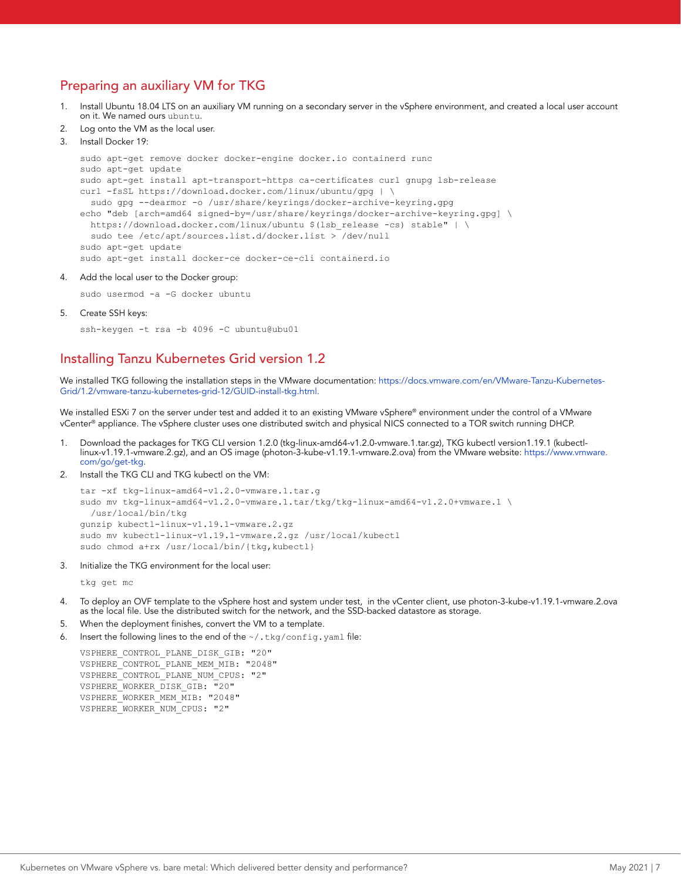## Preparing an auxiliary VM for TKG

- 1. Install Ubuntu 18.04 LTS on an auxiliary VM running on a secondary server in the vSphere environment, and created a local user account on it. We named ours ubuntu.
- Log onto the VM as the local user.

```
3. Install Docker 19:
```

```
sudo apt-get remove docker docker-engine docker.io containerd runc
sudo apt-get update
sudo apt-get install apt-transport-https ca-certificates curl gnupg lsb-release
curl -fsSL https://download.docker.com/linux/ubuntu/gpg | \
  sudo gpg --dearmor -o /usr/share/keyrings/docker-archive-keyring.gpg
echo "deb [arch=amd64 signed-by=/usr/share/keyrings/docker-archive-keyring.gpg] \
 https://download.docker.com/linux/ubuntu $(lsb_release -cs) stable" | \
  sudo tee /etc/apt/sources.list.d/docker.list > /dev/null
sudo apt-get update
sudo apt-get install docker-ce docker-ce-cli containerd.io
```
4. Add the local user to the Docker group:

sudo usermod -a -G docker ubuntu

5. Create SSH keys:

ssh-keygen -t rsa -b 4096 -C ubuntu@ubu01

#### Installing Tanzu Kubernetes Grid version 1.2

We installed TKG following the installation steps in the VMware documentation: https://docs.vmware.com/en/VMware-Tanzu-Kubernetes-Grid/1.2/vmware-tanzu-kubernetes-grid-12/GUID-install-tkg.html.

We installed ESXi 7 on the server under test and added it to an existing VMware vSphere® environment under the control of a VMware vCenter® appliance. The vSphere cluster uses one distributed switch and physical NICS connected to a TOR switch running DHCP.

- 1. Download the packages for TKG CLI version 1.2.0 (tkg-linux-amd64-v1.2.0-vmware.1.tar.gz), TKG kubectl version1.19.1 (kubectllinux-v1.19.1-vmware.2.gz), and an OS image (photon-3-kube-v1.19.1-vmware.2.ova) from the VMware website: [https://www.vmware.](https://www.vmware.com/go/get-tkg) [com/go/get-tkg](https://www.vmware.com/go/get-tkg).
- 2. Install the TKG CLI and TKG kubectl on the VM:

```
tar -xf tkg-linux-amd64-v1.2.0-vmware.1.tar.g
sudo mv tkg-linux-amd64-v1.2.0-vmware.1.tar/tkg/tkg-linux-amd64-v1.2.0+vmware.1 \
  /usr/local/bin/tkg
gunzip kubectl-linux-v1.19.1-vmware.2.gz
sudo mv kubectl-linux-v1.19.1-vmware.2.gz /usr/local/kubectl
sudo chmod a+rx /usr/local/bin/{tkg,kubectl}
```
3. Initialize the TKG environment for the local user:

tkg get mc

- 4. To deploy an OVF template to the vSphere host and system under test, in the vCenter client, use photon-3-kube-v1.19.1-vmware.2.ova as the local file. Use the distributed switch for the network, and the SSD-backed datastore as storage.
- 5. When the deployment finishes, convert the VM to a template.
- Insert the following lines to the end of the  $\sim/$ .tkg/config.yaml file:

```
VSPHERE_CONTROL_PLANE_DISK_GIB: "20"
VSPHERE_CONTROL_PLANE_MEM_MIB: "2048"
VSPHERE_CONTROL_PLANE_NUM_CPUS: "2"
VSPHERE_WORKER_DISK_GIB: "20"
VSPHERE_WORKER_MEM_MIB: "2048"
VSPHERE_WORKER_NUM_CPUS: "2"
```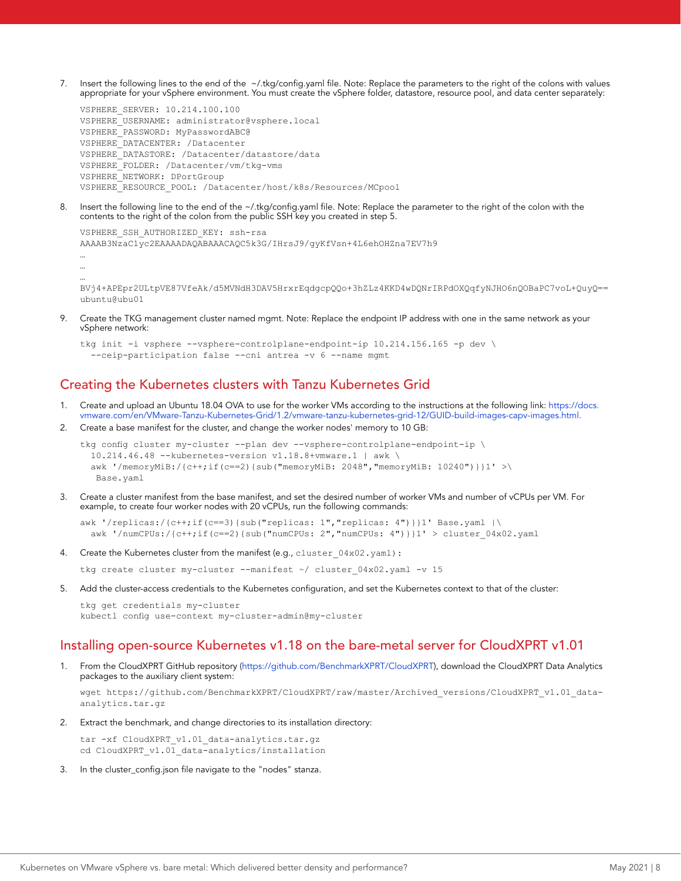7. Insert the following lines to the end of the ~/.tkg/config.yaml file. Note: Replace the parameters to the right of the colons with values appropriate for your vSphere environment. You must create the vSphere folder, datastore, resource pool, and data center separately:

```
VSPHERE_SERVER: 10.214.100.100
VSPHERE_USERNAME: administrator@vsphere.local
VSPHERE_PASSWORD: MyPasswordABC@
VSPHERE_DATACENTER: /Datacenter
VSPHERE_DATASTORE: /Datacenter/datastore/data
VSPHERE_FOLDER: /Datacenter/vm/tkg-vms
VSPHERE_NETWORK: DPortGroup
VSPHERE_RESOURCE_POOL: /Datacenter/host/k8s/Resources/MCpool
```
8. Insert the following line to the end of the ~/.tkg/config.yaml file. Note: Replace the parameter to the right of the colon with the contents to the right of the colon from the public SSH key you created in step 5.

```
VSPHERE_SSH_AUTHORIZED_KEY: ssh-rsa 
AAAAB3NzaC1yc2EAAAADAQABAAACAQC5k3G/IHrsJ9/gyKfVsn+4L6ehOHZna7EV7h9
…
```

```
…
…
```
BVj4+APEpr2ULtpVE87VfeAk/d5MVNdH3DAV5HrxrEqdgcpQQo+3hZLz4KKD4wDQNrIRPdOXQqfyNJHO6nQOBaPC7voL+QuyQ== ubuntu@ubu01

9. Create the TKG management cluster named mgmt. Note: Replace the endpoint IP address with one in the same network as your vSphere network:

```
tkg init -i vsphere --vsphere-controlplane-endpoint-ip 10.214.156.165 -p dev \
  --ceip-participation false --cni antrea -v 6 --name mgmt
```
## Creating the Kubernetes clusters with Tanzu Kubernetes Grid

- 1. Create and upload an Ubuntu 18.04 OVA to use for the worker VMs according to the instructions at the following link: [https://docs.](https://docs.vmware.com/en/VMware-Tanzu-Kubernetes-Grid/1.2/vmware-tanzu-kubernetes-grid-12/GUID-build-images-capv-images.html) [vmware.com/en/VMware-Tanzu-Kubernetes-Grid/1.2/vmware-tanzu-kubernetes-grid-12/GUID-build-images-capv-images.html.](https://docs.vmware.com/en/VMware-Tanzu-Kubernetes-Grid/1.2/vmware-tanzu-kubernetes-grid-12/GUID-build-images-capv-images.html)
- 2. Create a base manifest for the cluster, and change the worker nodes' memory to 10 GB:

```
tkg config cluster my-cluster --plan dev --vsphere-controlplane-endpoint-ip \
  10.214.46.48 --kubernetes-version v1.18.8+vmware.1 | awk \
  awk '/memoryMiB:/{c++;if(c==2){sub("memoryMiB: 2048","memoryMiB: 10240")}}1' >\
   Base.yaml
```
Create a cluster manifest from the base manifest, and set the desired number of worker VMs and number of vCPUs per VM. For example, to create four worker nodes with 20 vCPUs, run the following commands:

```
awk '/replicas:/{c++;if(c==3){sub("replicas: 1","replicas: 4")}}1' Base.yaml |\
  awk '/numCPUs:/{c++;if(c==2){sub("numCPUs: 2","numCPUs: 4")}}1' > cluster 04x02.yaml
```
4. Create the Kubernetes cluster from the manifest (e.g., cluster  $04x02.yaml$ ):

tkg create cluster my-cluster --manifest  $\sim$  / cluster 04x02.yaml -v 15

5. Add the cluster-access credentials to the Kubernetes configuration, and set the Kubernetes context to that of the cluster:

```
tkg get credentials my-cluster
kubectl config use-context my-cluster-admin@my-cluster
```
#### Installing open-source Kubernetes v1.18 on the bare-metal server for CloudXPRT v1.01

1. From the CloudXPRT GitHub repository (<https://github.com/BenchmarkXPRT/CloudXPRT>), download the CloudXPRT Data Analytics packages to the auxiliary client system:

wget https://github.com/BenchmarkXPRT/CloudXPRT/raw/master/Archived\_versions/CloudXPRT\_v1.01\_dataanalytics.tar.gz

2. Extract the benchmark, and change directories to its installation directory:

tar -xf CloudXPRT v1.01 data-analytics.tar.gz cd CloudXPRT\_v1.01\_data-analytics/installation

3. In the cluster\_config.json file navigate to the "nodes" stanza.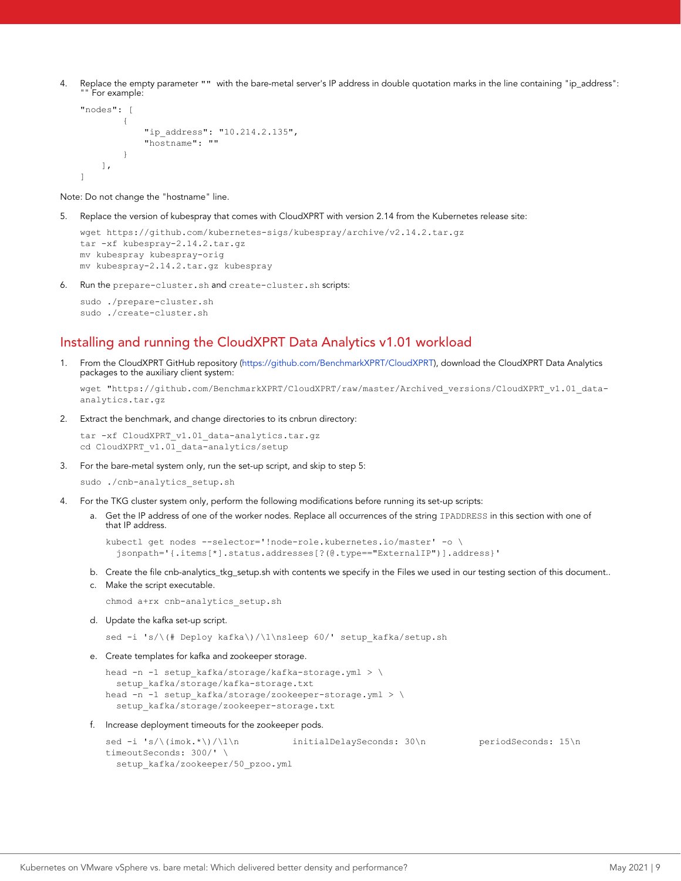4. Replace the empty parameter "" with the bare-metal server's IP address in double quotation marks in the line containing "ip\_address": For example:

```
"nodes": [
\left\{ \begin{array}{ccc} 0 & 0 & 0 \\ 0 & 0 & 0 \\ 0 & 0 & 0 \\ 0 & 0 & 0 \\ 0 & 0 & 0 \\ 0 & 0 & 0 \\ 0 & 0 & 0 \\ 0 & 0 & 0 \\ 0 & 0 & 0 \\ 0 & 0 & 0 \\ 0 & 0 & 0 \\ 0 & 0 & 0 \\ 0 & 0 & 0 \\ 0 & 0 & 0 & 0 \\ 0 & 0 & 0 & 0 \\ 0 & 0 & 0 & 0 \\ 0 & 0 & 0 & 0 \\ 0 & 0 & 0 & 0 & 0 \\ 0 & 0 & 0 & 0 & 0 \\ 0 & 0 & 0 & 0 & 0"ip_address": "10.214.2.135",
                                                               "hostname": ""
 }
                    ],
]
```
Note: Do not change the "hostname" line.

5. Replace the version of kubespray that comes with CloudXPRT with version 2.14 from the Kubernetes release site:

```
wget https://github.com/kubernetes-sigs/kubespray/archive/v2.14.2.tar.gz
tar -xf kubespray-2.14.2.tar.gz
mv kubespray kubespray-orig
mv kubespray-2.14.2.tar.gz kubespray
```
6. Run the prepare-cluster.sh and create-cluster.sh scripts:

```
sudo ./prepare-cluster.sh
sudo ./create-cluster.sh
```
#### Installing and running the CloudXPRT Data Analytics v1.01 workload

1. From the CloudXPRT GitHub repository (<https://github.com/BenchmarkXPRT/CloudXPRT>), download the CloudXPRT Data Analytics packages to the auxiliary client system:

wget "https://github.com/BenchmarkXPRT/CloudXPRT/raw/master/Archived\_versions/CloudXPRT\_v1.01\_dataanalytics.tar.gz

2. Extract the benchmark, and change directories to its cnbrun directory:

```
tar -xf CloudXPRT v1.01 data-analytics.tar.gz
cd CloudXPRT_v1.01_data-analytics/setup
```
3. For the bare-metal system only, run the set-up script, and skip to step 5:

```
sudo ./cnb-analytics setup.sh
```
- 4. For the TKG cluster system only, perform the following modifications before running its set-up scripts:
	- a. Get the IP address of one of the worker nodes. Replace all occurrences of the string IPADDRESS in this section with one of that IP address.

```
kubectl get nodes --selector='!node-role.kubernetes.io/master' -o \
   jsonpath='{.items[*].status.addresses[?(@.type=="ExternalIP")].address}'
```
- b. Create the file cnb-analytics\_tkg\_setup.sh with contents we specify in the Files we used in our testing section of this document..
- c. Make the script executable.

chmod a+rx cnb-analytics\_setup.sh

d. Update the kafka set-up script.

sed -i 's/\(# Deploy kafka\)/\1\nsleep 60/' setup kafka/setup.sh

e. Create templates for kafka and zookeeper storage.

```
head -n -1 setup kafka/storage/kafka-storage.yml > \
   setup_kafka/storage/kafka-storage.txt
head -n -1 setup kafka/storage/zookeeper-storage.yml > \
  setup_kafka/storage/zookeeper-storage.txt
```
f. Increase deployment timeouts for the zookeeper pods.

```
sed -i 's/\(imok.*\)/\1\n initialDelaySeconds: 30\n periodSeconds: 15\n
timeoutSeconds: 300/' \
  setup_kafka/zookeeper/50_pzoo.yml
```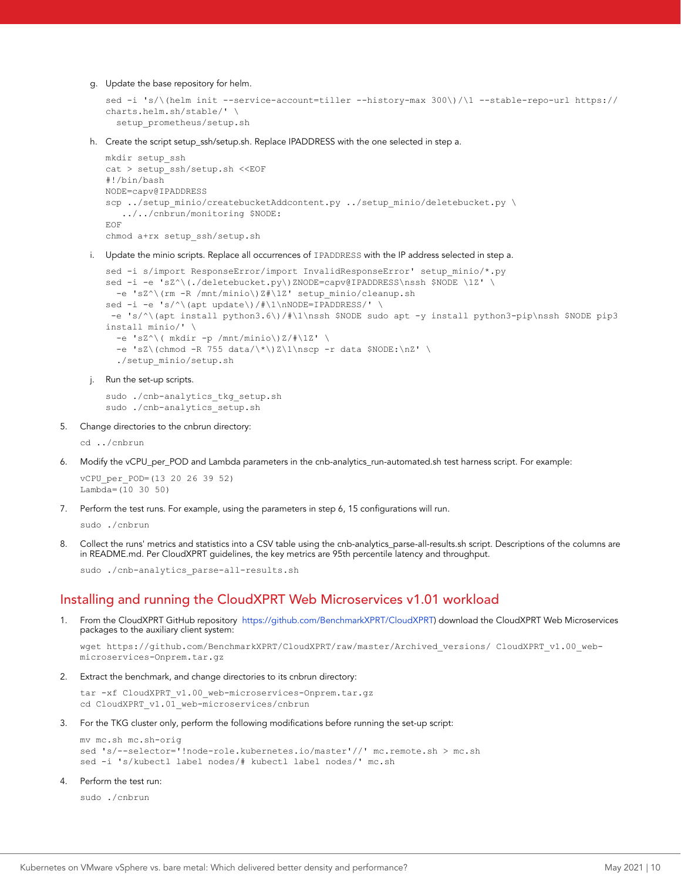g. Update the base repository for helm.

```
sed -i 's/\(helm init --service-account=tiller --history-max 300\)/\1 --stable-repo-url https://
charts.helm.sh/stable/' \
  setup prometheus/setup.sh
```
h. Create the script setup\_ssh/setup.sh. Replace IPADDRESS with the one selected in step a.

```
mkdir setup_ssh
cat > setup ssh/setup.sh <<EOF
#!/bin/bash
NODE=capv@IPADDRESS
scp ../setup_minio/createbucketAddcontent.py ../setup_minio/deletebucket.py \
   ../../cnbrun/monitoring $NODE:
EOF
chmod a+rx setup_ssh/setup.sh
```
i. Update the minio scripts. Replace all occurrences of IPADDRESS with the IP address selected in step a.

```
sed -i s/import ResponseError/import InvalidResponseError' setup minio/*.py
sed -i -e 'sZ^\(./deletebucket.py\)ZNODE=capv@IPADDRESS\nssh $NODE \1Z' \
   -e 'sZ^\(rm -R /mnt/minio\)Z#\1Z' setup_minio/cleanup.sh
sed -i -e 's/^\(apt update\)/#\1\nNODE=IPADDRESS/'
  -e 's/^\(apt install python3.6\)/#\1\nssh $NODE sudo apt -y install python3-pip\nssh $NODE pip3 
install minio/' \
  -e 'sZ^\( mkdir -p /mnt/minio\)Z/#\1Z' \
  -e 'sZ\(chmod -R 755 data/\*\)Z\1\nscp -r data $NODE:\nZ' \
   ./setup_minio/setup.sh
```
j. Run the set-up scripts.

```
sudo ./cnb-analytics_tkg_setup.sh
sudo ./cnb-analytics_setup.sh
```
5. Change directories to the cnbrun directory:

```
cd ../cnbrun
```
6. Modify the vCPU per POD and Lambda parameters in the cnb-analytics run-automated.sh test harness script. For example:

vCPU\_per\_POD=(13 20 26 39 52) Lambda=(10 30 50)

7. Perform the test runs. For example, using the parameters in step 6, 15 configurations will run.

sudo ./cnbrun

8. Collect the runs' metrics and statistics into a CSV table using the cnb-analytics\_parse-all-results.sh script. Descriptions of the columns are in README.md. Per CloudXPRT guidelines, the key metrics are 95th percentile latency and throughput.

sudo ./cnb-analytics\_parse-all-results.sh

#### Installing and running the CloudXPRT Web Microservices v1.01 workload

1. From the CloudXPRT GitHub repository <https://github.com/BenchmarkXPRT/CloudXPRT>) download the CloudXPRT Web Microservices packages to the auxiliary client system:

```
wget https://github.com/BenchmarkXPRT/CloudXPRT/raw/master/Archived versions/ CloudXPRT v1.00 web-
microservices-Onprem.tar.gz
```
2. Extract the benchmark, and change directories to its cnbrun directory:

tar -xf CloudXPRT v1.00 web-microservices-Onprem.tar.gz cd CloudXPRT\_v1.01\_web-microservices/cnbrun

3. For the TKG cluster only, perform the following modifications before running the set-up script:

```
mv mc.sh mc.sh-orig
sed 's/--selector='!node-role.kubernetes.io/master'//' mc.remote.sh > mc.sh
sed -i 's/kubectl label nodes/# kubectl label nodes/' mc.sh
```
Perform the test run:

sudo ./cnbrun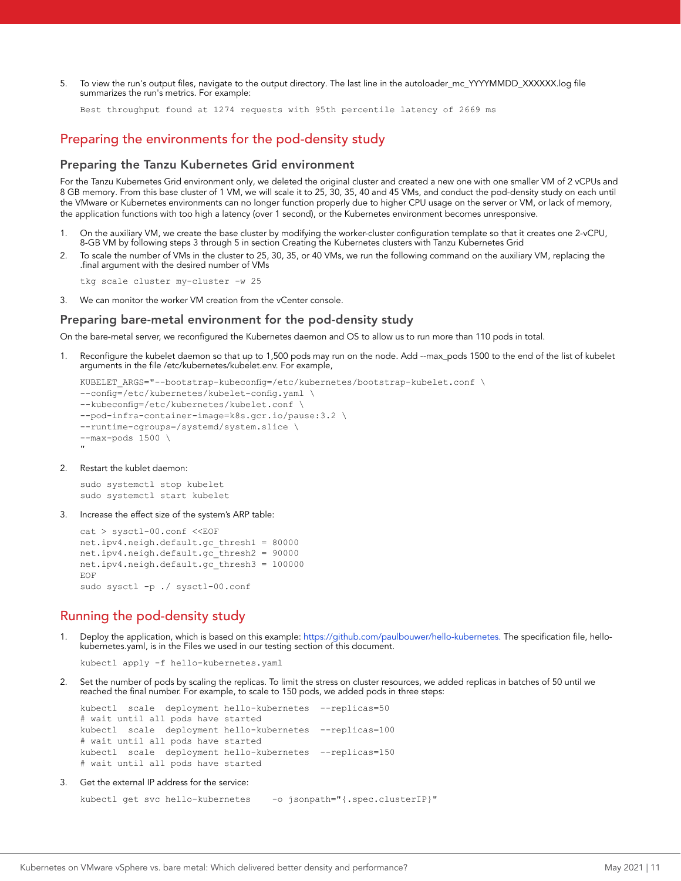5. To view the run's output files, navigate to the output directory. The last line in the autoloader\_mc\_YYYYMMDD\_XXXXXX.log file summarizes the run's metrics. For example:

Best throughput found at 1274 requests with 95th percentile latency of 2669 ms

#### Preparing the environments for the pod-density study

#### Preparing the Tanzu Kubernetes Grid environment

For the Tanzu Kubernetes Grid environment only, we deleted the original cluster and created a new one with one smaller VM of 2 vCPUs and 8 GB memory. From this base cluster of 1 VM, we will scale it to 25, 30, 35, 40 and 45 VMs, and conduct the pod-density study on each until the VMware or Kubernetes environments can no longer function properly due to higher CPU usage on the server or VM, or lack of memory, the application functions with too high a latency (over 1 second), or the Kubernetes environment becomes unresponsive.

- 1. On the auxiliary VM, we create the base cluster by modifying the worker-cluster configuration template so that it creates one 2-vCPU, 8-GB VM by following steps 3 through 5 in section Creating the Kubernetes clusters with Tanzu Kubernetes Grid
- 2. To scale the number of VMs in the cluster to 25, 30, 35, or 40 VMs, we run the following command on the auxiliary VM, replacing the .final argument with the desired number of VMs

tkg scale cluster my-cluster -w 25

3. We can monitor the worker VM creation from the vCenter console.

#### Preparing bare-metal environment for the pod-density study

On the bare-metal server, we reconfigured the Kubernetes daemon and OS to allow us to run more than 110 pods in total.

1. Reconfigure the kubelet daemon so that up to 1,500 pods may run on the node. Add --max\_pods 1500 to the end of the list of kubelet arguments in the file /etc/kubernetes/kubelet.env. For example,

```
KUBELET_ARGS="--bootstrap-kubeconfig=/etc/kubernetes/bootstrap-kubelet.conf \
--config=/etc/kubernetes/kubelet-config.yaml \
--kubeconfig=/etc/kubernetes/kubelet.conf \
--pod-infra-container-image=k8s.gcr.io/pause:3.2 \
--runtime-cgroups=/systemd/system.slice \
--max-pods 1500 \
```
#### 2. Restart the kublet daemon:

"

sudo systemctl stop kubelet sudo systemctl start kubelet

#### 3. Increase the effect size of the system's ARP table:

```
cat > sysctl-00.conf <<EOF
net.ipv4.neigh.default.gc_thresh1 = 80000
net.ipv4.neigh.default.gc_thresh2 = 90000
net.ipv4.neigh.default.gc_thresh3 = 100000
EOF
sudo sysctl -p ./ sysctl-00.conf
```
#### Running the pod-density study

1. Deploy the application, which is based on this example:<https://github.com/paulbouwer/hello-kubernetes>. The specification file, hellokubernetes.yaml, is in the Files we used in our testing section of this document.

kubectl apply -f hello-kubernetes.yaml

2. Set the number of pods by scaling the replicas. To limit the stress on cluster resources, we added replicas in batches of 50 until we reached the final number. For example, to scale to 150 pods, we added pods in three steps:

```
kubectl scale deployment hello-kubernetes --replicas=50
# wait until all pods have started
kubectl scale deployment hello-kubernetes --replicas=100
# wait until all pods have started 
kubectl scale deployment hello-kubernetes --replicas=150
# wait until all pods have started
```
3. Get the external IP address for the service:

```
kubectl get svc hello-kubernetes -o jsonpath="{.spec.clusterIP}"
```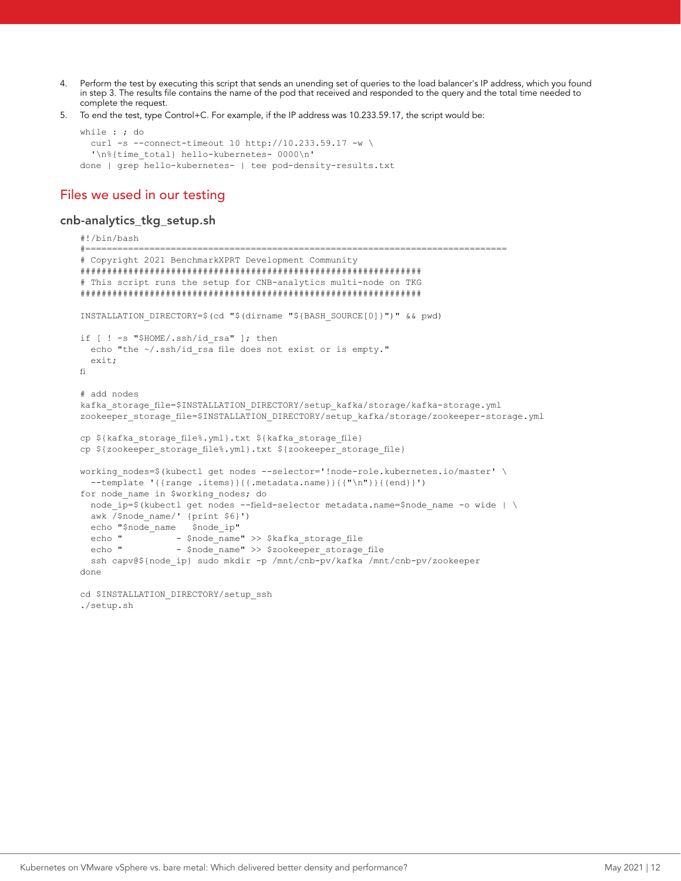- 4. Perform the test by executing this script that sends an unending set of queries to the load balancer's IP address, which you found in step 3. The results file contains the name of the pod that received and responded to the query and the total time needed to complete the request.
- 5. To end the test, type Control+C. For example, if the IP address was 10.233.59.17, the script would be:

```
while : ; do
  curl -s --connect-timeout 10 http://10.233.59.17 -w \
   '\n%{time_total} hello-kubernetes- 0000\n'
done | grep hello-kubernetes- | tee pod-density-results.txt
```
### Files we used in our testing

#### cnb-analytics\_tkg\_setup.sh

```
#!/bin/bash
#===============================================================================
# Copyright 2021 BenchmarkXPRT Development Community
################################################################
# This script runs the setup for CNB-analytics multi-node on TKG
################################################################
INSTALLATION_DIRECTORY=$(cd "$(dirname "${BASH_SOURCE[0]}")" && pwd)
if [ ! -s "$HOME/.ssh/id rsa" ]; then
 echo "the ~/.ssh/id rsa file does not exist or is empty."
  exit;
fi
# add nodes
kafka storage file=$INSTALLATION DIRECTORY/setup kafka/storage/kafka-storage.yml
zookeeper_storage_file=$INSTALLATION_DIRECTORY/setup_kafka/storage/zookeeper-storage.yml
cp ${kafka_storage_file%.yml}.txt ${kafka_storage_file}
cp ${zookeeper_storage_file%.yml}.txt ${zookeeper_storage_file}
working_nodes=$(kubectl get nodes --selector='!node-role.kubernetes.io/master' \
  --template '{{range .items}}{{.metadata.name}}{{"\n"}}{{end}}')
for node name in $working nodes; do
 node ip=$(kubectl get nodes --field-selector metadata.name=$node name -o wide | \
 awk /$node_name/' {print $6}')
 echo "$node_name $node_ip"
 echo " - $node_name" >> $kafka_storage_file<br>echo " - $node_name" >> $zookeeper storage
                 - $node_name" >> $zookeeper_storage_file
 ssh capv@${node_ip} sudo mkdir -p /mnt/cnb-pv/kafka /mnt/cnb-pv/zookeeper
done
cd $INSTALLATION DIRECTORY/setup ssh
```
./setup.sh